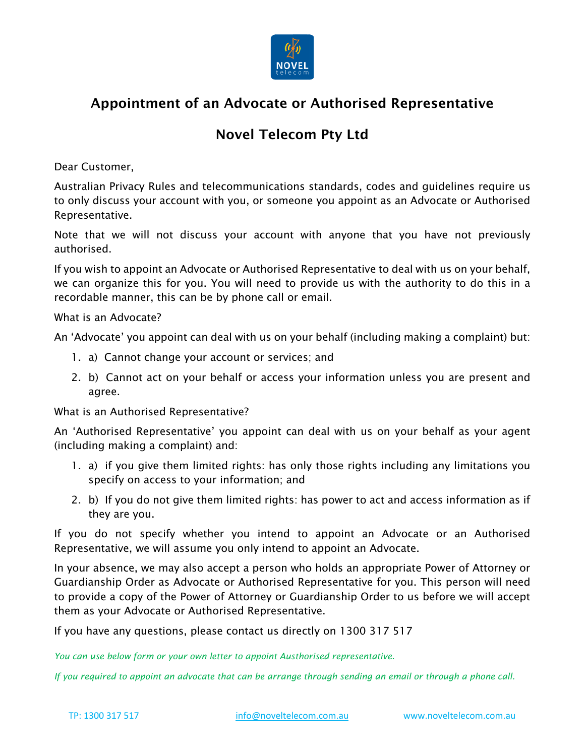

# Appointment of an Advocate or Authorised Representative

# Novel Telecom Pty Ltd

Dear Customer,

Australian Privacy Rules and telecommunications standards, codes and guidelines require us to only discuss your account with you, or someone you appoint as an Advocate or Authorised Representative.

Note that we will not discuss your account with anyone that you have not previously authorised.

If you wish to appoint an Advocate or Authorised Representative to deal with us on your behalf, we can organize this for you. You will need to provide us with the authority to do this in a recordable manner, this can be by phone call or email.

What is an Advocate?

An 'Advocate' you appoint can deal with us on your behalf (including making a complaint) but:

- 1. a) Cannot change your account or services; and
- 2. b) Cannot act on your behalf or access your information unless you are present and agree.

What is an Authorised Representative?

An 'Authorised Representative' you appoint can deal with us on your behalf as your agent (including making a complaint) and:

- 1. a) if you give them limited rights: has only those rights including any limitations you specify on access to your information; and
- 2. b) If you do not give them limited rights: has power to act and access information as if they are you.

If you do not specify whether you intend to appoint an Advocate or an Authorised Representative, we will assume you only intend to appoint an Advocate.

In your absence, we may also accept a person who holds an appropriate Power of Attorney or Guardianship Order as Advocate or Authorised Representative for you. This person will need to provide a copy of the Power of Attorney or Guardianship Order to us before we will accept them as your Advocate or Authorised Representative.

If you have any questions, please contact us directly on 1300 317 517

*You can use below form or your own letter to appoint Austhorised representative.* 

*If you required to appoint an advocate that can be arrange through sending an email or through a phone call.*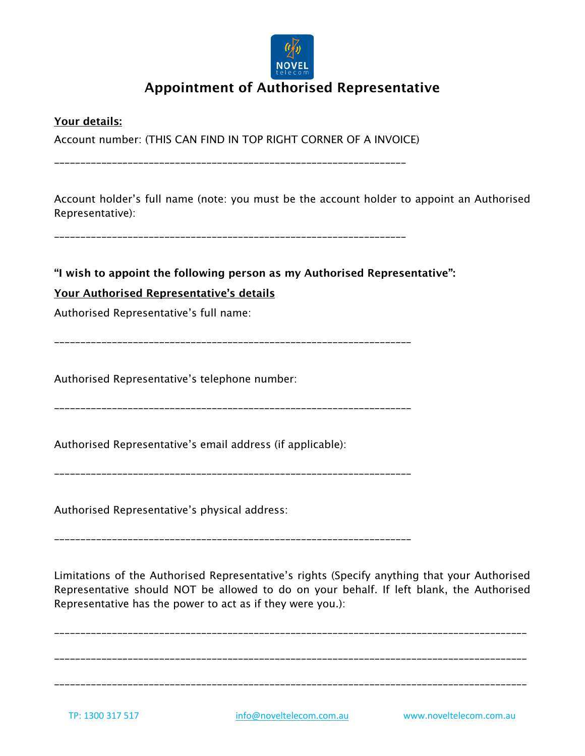

# Appointment of Authorised Representative

Your details:

Account number: (THIS CAN FIND IN TOP RIGHT CORNER OF A INVOICE)

\_\_\_\_\_\_\_\_\_\_\_\_\_\_\_\_\_\_\_\_\_\_\_\_\_\_\_\_\_\_\_\_\_\_\_\_\_\_\_\_\_\_\_\_\_\_\_\_\_\_\_\_\_\_\_\_\_\_\_\_\_\_\_\_\_\_\_

Account holder's full name (note: you must be the account holder to appoint an Authorised Representative):

\_\_\_\_\_\_\_\_\_\_\_\_\_\_\_\_\_\_\_\_\_\_\_\_\_\_\_\_\_\_\_\_\_\_\_\_\_\_\_\_\_\_\_\_\_\_\_\_\_\_\_\_\_\_\_\_\_\_\_\_\_\_\_\_\_\_\_

#### "I wish to appoint the following person as my Authorised Representative":

### Your Authorised Representative's details

Authorised Representative's full name:

\_\_\_\_\_\_\_\_\_\_\_\_\_\_\_\_\_\_\_\_\_\_\_\_\_\_\_\_\_\_\_\_\_\_\_\_\_\_\_\_\_\_\_\_\_\_\_\_\_\_\_\_\_\_\_\_\_\_\_\_\_\_\_\_\_\_\_\_

Authorised Representative's telephone number:

\_\_\_\_\_\_\_\_\_\_\_\_\_\_\_\_\_\_\_\_\_\_\_\_\_\_\_\_\_\_\_\_\_\_\_\_\_\_\_\_\_\_\_\_\_\_\_\_\_\_\_\_\_\_\_\_\_\_\_\_\_\_\_\_\_\_\_\_

Authorised Representative's email address (if applicable):

\_\_\_\_\_\_\_\_\_\_\_\_\_\_\_\_\_\_\_\_\_\_\_\_\_\_\_\_\_\_\_\_\_\_\_\_\_\_\_\_\_\_\_\_\_\_\_\_\_\_\_\_\_\_\_\_\_\_\_\_\_\_\_\_\_\_\_\_

Authorised Representative's physical address:

\_\_\_\_\_\_\_\_\_\_\_\_\_\_\_\_\_\_\_\_\_\_\_\_\_\_\_\_\_\_\_\_\_\_\_\_\_\_\_\_\_\_\_\_\_\_\_\_\_\_\_\_\_\_\_\_\_\_\_\_\_\_\_\_\_\_\_\_

Limitations of the Authorised Representative's rights (Specify anything that your Authorised Representative should NOT be allowed to do on your behalf. If left blank, the Authorised Representative has the power to act as if they were you.):

\_\_\_\_\_\_\_\_\_\_\_\_\_\_\_\_\_\_\_\_\_\_\_\_\_\_\_\_\_\_\_\_\_\_\_\_\_\_\_\_\_\_\_\_\_\_\_\_\_\_\_\_\_\_\_\_\_\_\_\_\_\_\_\_\_\_\_\_\_\_\_\_\_\_\_\_\_\_\_\_\_\_\_\_\_\_\_\_\_\_

\_\_\_\_\_\_\_\_\_\_\_\_\_\_\_\_\_\_\_\_\_\_\_\_\_\_\_\_\_\_\_\_\_\_\_\_\_\_\_\_\_\_\_\_\_\_\_\_\_\_\_\_\_\_\_\_\_\_\_\_\_\_\_\_\_\_\_\_\_\_\_\_\_\_\_\_\_\_\_\_\_\_\_\_\_\_\_\_\_\_

\_\_\_\_\_\_\_\_\_\_\_\_\_\_\_\_\_\_\_\_\_\_\_\_\_\_\_\_\_\_\_\_\_\_\_\_\_\_\_\_\_\_\_\_\_\_\_\_\_\_\_\_\_\_\_\_\_\_\_\_\_\_\_\_\_\_\_\_\_\_\_\_\_\_\_\_\_\_\_\_\_\_\_\_\_\_\_\_\_\_